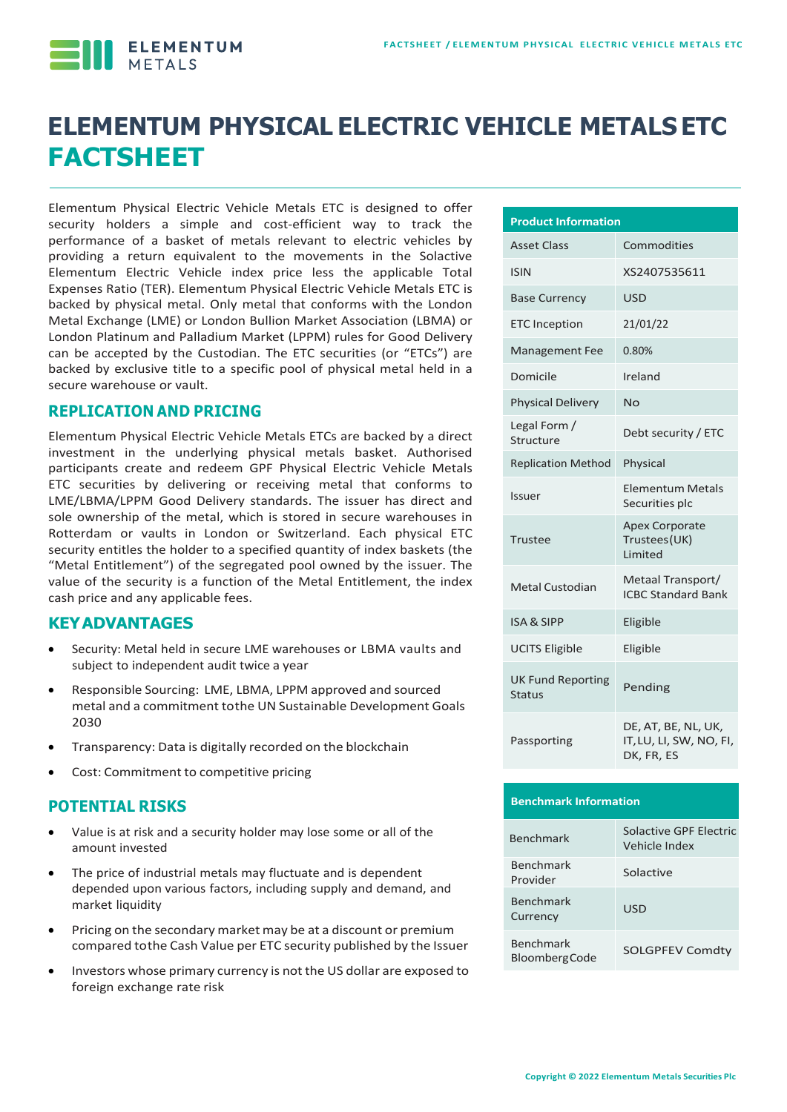

# **ELEMENTUM PHYSICAL ELECTRIC VEHICLE METALS ETC FACTSHEET**

Elementum Physical Electric Vehicle Metals ETC is designed to offer security holders a simple and cost-efficient way to track the performance of a basket of metals relevant to electric vehicles by providing a return equivalent to the movements in the Solactive Elementum Electric Vehicle index price less the applicable Total Expenses Ratio (TER). Elementum Physical Electric Vehicle Metals ETC is backed by physical metal. Only metal that conforms with the London Metal Exchange (LME) or London Bullion Market Association (LBMA) or London Platinum and Palladium Market (LPPM) rules for Good Delivery can be accepted by the Custodian. The ETC securities (or "ETCs") are backed by exclusive title to a specific pool of physical metal held in a secure warehouse or vault.

#### **REPLICATION AND PRICING**

Elementum Physical Electric Vehicle Metals ETCs are backed by a direct investment in the underlying physical metals basket. Authorised participants create and redeem GPF Physical Electric Vehicle Metals ETC securities by delivering or receiving metal that conforms to LME/LBMA/LPPM Good Delivery standards. The issuer has direct and sole ownership of the metal, which is stored in secure warehouses in Rotterdam or vaults in London or Switzerland. Each physical ETC security entitles the holder to a specified quantity of index baskets (the "Metal Entitlement") of the segregated pool owned by the issuer. The value of the security is a function of the Metal Entitlement, the index cash price and any applicable fees.

#### **KEYADVANTAGES**

- Security: Metal held in secure LME warehouses or LBMA vaults and subject to independent audit twice a year
- Responsible Sourcing: LME, LBMA, LPPM approved and sourced metal and a commitment tothe UN Sustainable Development Goals 2030
- Transparency: Data is digitally recorded on the blockchain
- Cost: Commitment to competitive pricing

#### **POTENTIAL RISKS**

- Value is at risk and a security holder may lose some or all of the amount invested
- The price of industrial metals may fluctuate and is dependent depended upon various factors, including supply and demand, and market liquidity
- Pricing on the secondary market may be at a discount or premium compared tothe Cash Value per ETC security published by the Issuer
- Investors whose primary currency is not the US dollar are exposed to foreign exchange rate risk

| <b>Product Information</b>                |                                                              |  |  |
|-------------------------------------------|--------------------------------------------------------------|--|--|
| <b>Asset Class</b>                        | Commodities                                                  |  |  |
| <b>ISIN</b>                               | XS2407535611                                                 |  |  |
| <b>Base Currency</b>                      | <b>USD</b>                                                   |  |  |
| <b>ETC Inception</b>                      | 21/01/22                                                     |  |  |
| <b>Management Fee</b>                     | 0.80%                                                        |  |  |
| Domicile                                  | Ireland                                                      |  |  |
| <b>Physical Delivery</b>                  | Nο                                                           |  |  |
| Legal Form /<br>Structure                 | Debt security / ETC                                          |  |  |
| <b>Replication Method</b>                 | Physical                                                     |  |  |
| Issuer                                    | <b>Elementum Metals</b><br>Securities plc                    |  |  |
| Trustee                                   | <b>Apex Corporate</b><br>Trustees (UK)<br><b>Limited</b>     |  |  |
| Metal Custodian                           | Metaal Transport/<br><b>ICBC Standard Bank</b>               |  |  |
| <b>ISA &amp; SIPP</b>                     | Eligible                                                     |  |  |
| <b>UCITS Eligible</b>                     | Eligible                                                     |  |  |
| <b>UK Fund Reporting</b><br><b>Status</b> | Pending                                                      |  |  |
| Passporting                               | DE, AT, BE, NL, UK,<br>IT, LU, LI, SW, NO, FI,<br>DK, FR, ES |  |  |

|  | <b>Benchmark Information</b> |
|--|------------------------------|
|  |                              |

| <b>Benchmark</b>                         | Solactive GPF Electric<br>Vehicle Index |
|------------------------------------------|-----------------------------------------|
| <b>Benchmark</b><br>Provider             | Solactive                               |
| <b>Benchmark</b><br>Currency             | USD                                     |
| <b>Benchmark</b><br><b>BloombergCode</b> | <b>SOLGPFEV Comdtv</b>                  |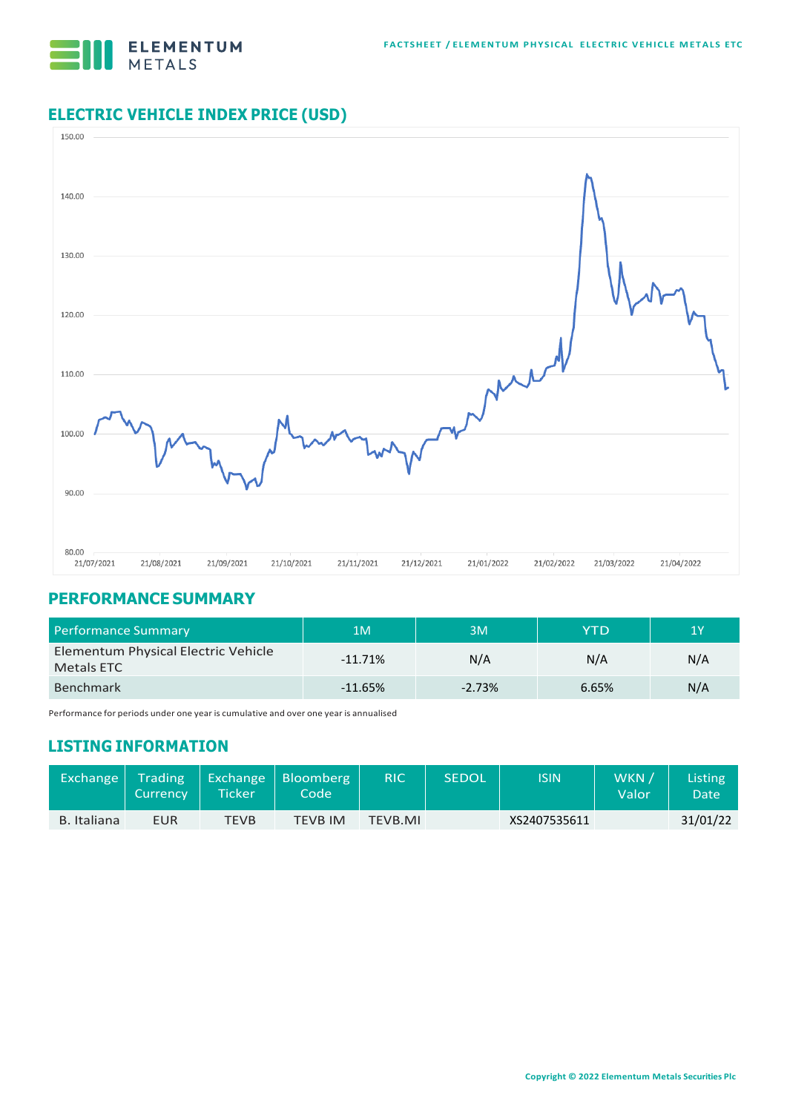

## **ELECTRIC VEHICLE INDEX PRICE (USD)**



#### **PERFORMANCE SUMMARY**

| Performance Summary                               | 1M        | 3M       | YTD   | 1Y  |
|---------------------------------------------------|-----------|----------|-------|-----|
| Elementum Physical Electric Vehicle<br>Metals ETC | $-11.71%$ | N/A      | N/A   | N/A |
| <b>Benchmark</b>                                  | $-11.65%$ | $-2.73%$ | 6.65% | N/A |

Performance for periods under one year is cumulative and over one year is annualised

### **LISTING INFORMATION**

| Exchange    | Trading<br><b>Currency</b> | <b>Ticker\</b> | Exchange Bloomberg<br>Code \ | <b>RIC</b> | <b>SEDOL</b> | <b>ISIN</b>  | WKN,<br>Valor | <b>Listing</b><br>Date |
|-------------|----------------------------|----------------|------------------------------|------------|--------------|--------------|---------------|------------------------|
| B. Italiana | EUR                        | TEVB           | TEVB IM                      | TEVB.MI    |              | XS2407535611 |               | 31/01/22               |